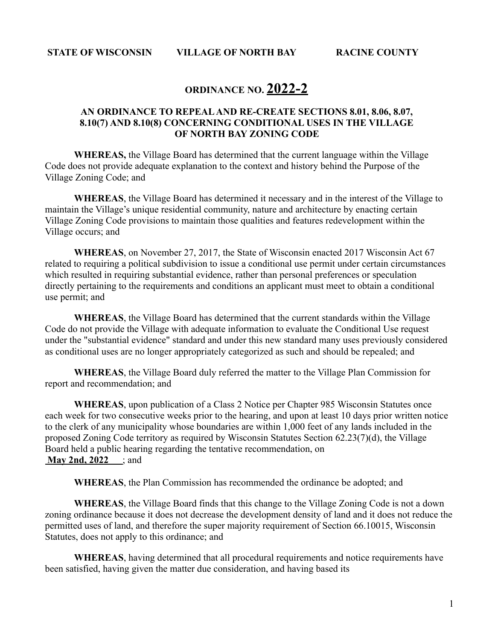# **ORDINANCE NO. 2022-2**

## **AN ORDINANCE TO REPEAL AND RE-CREATE SECTIONS 8.01, 8.06, 8.07, 8.10(7) AND 8.10(8) CONCERNING CONDITIONAL USES IN THE VILLAGE OF NORTH BAY ZONING CODE**

**WHEREAS,** the Village Board has determined that the current language within the Village Code does not provide adequate explanation to the context and history behind the Purpose of the Village Zoning Code; and

**WHEREAS**, the Village Board has determined it necessary and in the interest of the Village to maintain the Village's unique residential community, nature and architecture by enacting certain Village Zoning Code provisions to maintain those qualities and features redevelopment within the Village occurs; and

**WHEREAS**, on November 27, 2017, the State of Wisconsin enacted 2017 Wisconsin Act 67 related to requiring a political subdivision to issue a conditional use permit under certain circumstances which resulted in requiring substantial evidence, rather than personal preferences or speculation directly pertaining to the requirements and conditions an applicant must meet to obtain a conditional use permit; and

**WHEREAS**, the Village Board has determined that the current standards within the Village Code do not provide the Village with adequate information to evaluate the Conditional Use request under the "substantial evidence" standard and under this new standard many uses previously considered as conditional uses are no longer appropriately categorized as such and should be repealed; and

**WHEREAS**, the Village Board duly referred the matter to the Village Plan Commission for report and recommendation; and

**WHEREAS**, upon publication of a Class 2 Notice per Chapter 985 Wisconsin Statutes once each week for two consecutive weeks prior to the hearing, and upon at least 10 days prior written notice to the clerk of any municipality whose boundaries are within 1,000 feet of any lands included in the proposed Zoning Code territory as required by Wisconsin Statutes Section 62.23(7)(d), the Village Board held a public hearing regarding the tentative recommendation, on **May 2nd, 2022** ; and

**WHEREAS**, the Plan Commission has recommended the ordinance be adopted; and

**WHEREAS**, the Village Board finds that this change to the Village Zoning Code is not a down zoning ordinance because it does not decrease the development density of land and it does not reduce the permitted uses of land, and therefore the super majority requirement of Section 66.10015, Wisconsin Statutes, does not apply to this ordinance; and

**WHEREAS**, having determined that all procedural requirements and notice requirements have been satisfied, having given the matter due consideration, and having based its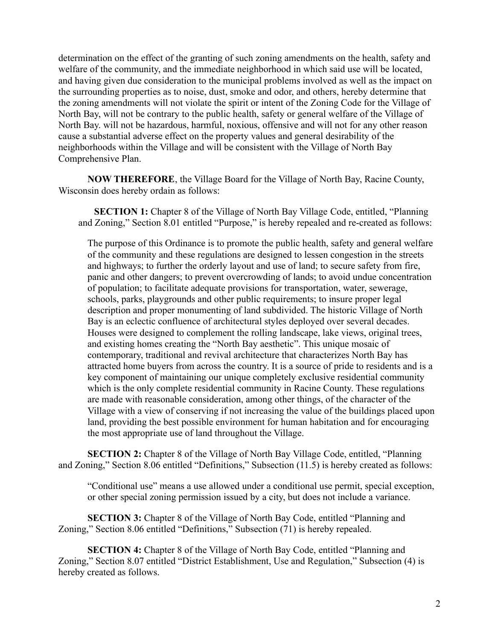determination on the effect of the granting of such zoning amendments on the health, safety and welfare of the community, and the immediate neighborhood in which said use will be located, and having given due consideration to the municipal problems involved as well as the impact on the surrounding properties as to noise, dust, smoke and odor, and others, hereby determine that the zoning amendments will not violate the spirit or intent of the Zoning Code for the Village of North Bay, will not be contrary to the public health, safety or general welfare of the Village of North Bay. will not be hazardous, harmful, noxious, offensive and will not for any other reason cause a substantial adverse effect on the property values and general desirability of the neighborhoods within the Village and will be consistent with the Village of North Bay Comprehensive Plan.

**NOW THEREFORE**, the Village Board for the Village of North Bay, Racine County, Wisconsin does hereby ordain as follows:

**SECTION 1:** Chapter 8 of the Village of North Bay Village Code, entitled, "Planning and Zoning," Section 8.01 entitled "Purpose," is hereby repealed and re-created as follows:

The purpose of this Ordinance is to promote the public health, safety and general welfare of the community and these regulations are designed to lessen congestion in the streets and highways; to further the orderly layout and use of land; to secure safety from fire, panic and other dangers; to prevent overcrowding of lands; to avoid undue concentration of population; to facilitate adequate provisions for transportation, water, sewerage, schools, parks, playgrounds and other public requirements; to insure proper legal description and proper monumenting of land subdivided. The historic Village of North Bay is an eclectic confluence of architectural styles deployed over several decades. Houses were designed to complement the rolling landscape, lake views, original trees, and existing homes creating the "North Bay aesthetic". This unique mosaic of contemporary, traditional and revival architecture that characterizes North Bay has attracted home buyers from across the country. It is a source of pride to residents and is a key component of maintaining our unique completely exclusive residential community which is the only complete residential community in Racine County. These regulations are made with reasonable consideration, among other things, of the character of the Village with a view of conserving if not increasing the value of the buildings placed upon land, providing the best possible environment for human habitation and for encouraging the most appropriate use of land throughout the Village.

**SECTION 2:** Chapter 8 of the Village of North Bay Village Code, entitled, "Planning and Zoning," Section 8.06 entitled "Definitions," Subsection (11.5) is hereby created as follows:

"Conditional use" means a use allowed under a conditional use permit, special exception, or other special zoning permission issued by a city, but does not include a variance.

**SECTION 3:** Chapter 8 of the Village of North Bay Code, entitled "Planning and Zoning," Section 8.06 entitled "Definitions," Subsection (71) is hereby repealed.

**SECTION 4:** Chapter 8 of the Village of North Bay Code, entitled "Planning and Zoning," Section 8.07 entitled "District Establishment, Use and Regulation," Subsection (4) is hereby created as follows.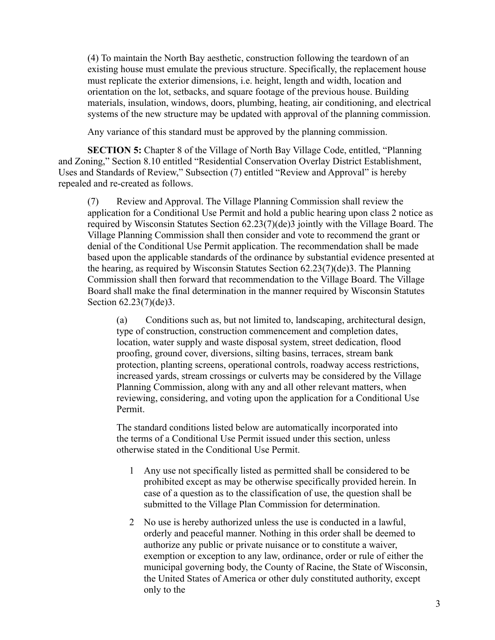(4) To maintain the North Bay aesthetic, construction following the teardown of an existing house must emulate the previous structure. Specifically, the replacement house must replicate the exterior dimensions, i.e. height, length and width, location and orientation on the lot, setbacks, and square footage of the previous house. Building materials, insulation, windows, doors, plumbing, heating, air conditioning, and electrical systems of the new structure may be updated with approval of the planning commission.

Any variance of this standard must be approved by the planning commission.

**SECTION 5:** Chapter 8 of the Village of North Bay Village Code, entitled, "Planning and Zoning," Section 8.10 entitled "Residential Conservation Overlay District Establishment, Uses and Standards of Review," Subsection (7) entitled "Review and Approval" is hereby repealed and re-created as follows.

(7) Review and Approval. The Village Planning Commission shall review the application for a Conditional Use Permit and hold a public hearing upon class 2 notice as required by Wisconsin Statutes Section 62.23(7)(de)3 jointly with the Village Board. The Village Planning Commission shall then consider and vote to recommend the grant or denial of the Conditional Use Permit application. The recommendation shall be made based upon the applicable standards of the ordinance by substantial evidence presented at the hearing, as required by Wisconsin Statutes Section 62.23(7)(de)3. The Planning Commission shall then forward that recommendation to the Village Board. The Village Board shall make the final determination in the manner required by Wisconsin Statutes Section 62.23(7)(de)3.

(a) Conditions such as, but not limited to, landscaping, architectural design, type of construction, construction commencement and completion dates, location, water supply and waste disposal system, street dedication, flood proofing, ground cover, diversions, silting basins, terraces, stream bank protection, planting screens, operational controls, roadway access restrictions, increased yards, stream crossings or culverts may be considered by the Village Planning Commission, along with any and all other relevant matters, when reviewing, considering, and voting upon the application for a Conditional Use Permit.

The standard conditions listed below are automatically incorporated into the terms of a Conditional Use Permit issued under this section, unless otherwise stated in the Conditional Use Permit.

- 1 Any use not specifically listed as permitted shall be considered to be prohibited except as may be otherwise specifically provided herein. In case of a question as to the classification of use, the question shall be submitted to the Village Plan Commission for determination.
- 2 No use is hereby authorized unless the use is conducted in a lawful, orderly and peaceful manner. Nothing in this order shall be deemed to authorize any public or private nuisance or to constitute a waiver, exemption or exception to any law, ordinance, order or rule of either the municipal governing body, the County of Racine, the State of Wisconsin, the United States of America or other duly constituted authority, except only to the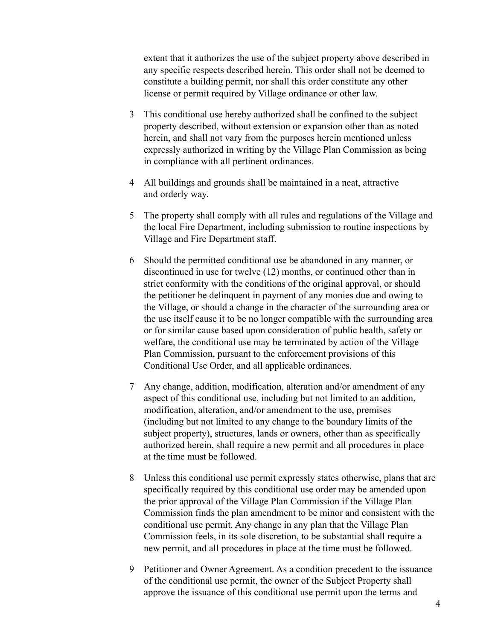extent that it authorizes the use of the subject property above described in any specific respects described herein. This order shall not be deemed to constitute a building permit, nor shall this order constitute any other license or permit required by Village ordinance or other law.

- 3 This conditional use hereby authorized shall be confined to the subject property described, without extension or expansion other than as noted herein, and shall not vary from the purposes herein mentioned unless expressly authorized in writing by the Village Plan Commission as being in compliance with all pertinent ordinances.
- 4 All buildings and grounds shall be maintained in a neat, attractive and orderly way.
- 5 The property shall comply with all rules and regulations of the Village and the local Fire Department, including submission to routine inspections by Village and Fire Department staff.
- 6 Should the permitted conditional use be abandoned in any manner, or discontinued in use for twelve (12) months, or continued other than in strict conformity with the conditions of the original approval, or should the petitioner be delinquent in payment of any monies due and owing to the Village, or should a change in the character of the surrounding area or the use itself cause it to be no longer compatible with the surrounding area or for similar cause based upon consideration of public health, safety or welfare, the conditional use may be terminated by action of the Village Plan Commission, pursuant to the enforcement provisions of this Conditional Use Order, and all applicable ordinances.
- 7 Any change, addition, modification, alteration and/or amendment of any aspect of this conditional use, including but not limited to an addition, modification, alteration, and/or amendment to the use, premises (including but not limited to any change to the boundary limits of the subject property), structures, lands or owners, other than as specifically authorized herein, shall require a new permit and all procedures in place at the time must be followed.
- 8 Unless this conditional use permit expressly states otherwise, plans that are specifically required by this conditional use order may be amended upon the prior approval of the Village Plan Commission if the Village Plan Commission finds the plan amendment to be minor and consistent with the conditional use permit. Any change in any plan that the Village Plan Commission feels, in its sole discretion, to be substantial shall require a new permit, and all procedures in place at the time must be followed.
- 9 Petitioner and Owner Agreement. As a condition precedent to the issuance of the conditional use permit, the owner of the Subject Property shall approve the issuance of this conditional use permit upon the terms and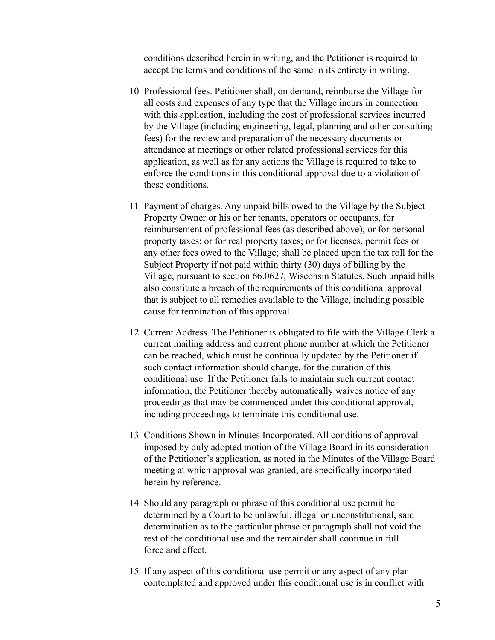conditions described herein in writing, and the Petitioner is required to accept the terms and conditions of the same in its entirety in writing.

- 10 Professional fees. Petitioner shall, on demand, reimburse the Village for all costs and expenses of any type that the Village incurs in connection with this application, including the cost of professional services incurred by the Village (including engineering, legal, planning and other consulting fees) for the review and preparation of the necessary documents or attendance at meetings or other related professional services for this application, as well as for any actions the Village is required to take to enforce the conditions in this conditional approval due to a violation of these conditions.
- 11 Payment of charges. Any unpaid bills owed to the Village by the Subject Property Owner or his or her tenants, operators or occupants, for reimbursement of professional fees (as described above); or for personal property taxes; or for real property taxes; or for licenses, permit fees or any other fees owed to the Village; shall be placed upon the tax roll for the Subject Property if not paid within thirty (30) days of billing by the Village, pursuant to section 66.0627, Wisconsin Statutes. Such unpaid bills also constitute a breach of the requirements of this conditional approval that is subject to all remedies available to the Village, including possible cause for termination of this approval.
- 12 Current Address. The Petitioner is obligated to file with the Village Clerk a current mailing address and current phone number at which the Petitioner can be reached, which must be continually updated by the Petitioner if such contact information should change, for the duration of this conditional use. If the Petitioner fails to maintain such current contact information, the Petitioner thereby automatically waives notice of any proceedings that may be commenced under this conditional approval, including proceedings to terminate this conditional use.
- 13 Conditions Shown in Minutes Incorporated. All conditions of approval imposed by duly adopted motion of the Village Board in its consideration of the Petitioner's application, as noted in the Minutes of the Village Board meeting at which approval was granted, are specifically incorporated herein by reference.
- 14 Should any paragraph or phrase of this conditional use permit be determined by a Court to be unlawful, illegal or unconstitutional, said determination as to the particular phrase or paragraph shall not void the rest of the conditional use and the remainder shall continue in full force and effect.
- 15 If any aspect of this conditional use permit or any aspect of any plan contemplated and approved under this conditional use is in conflict with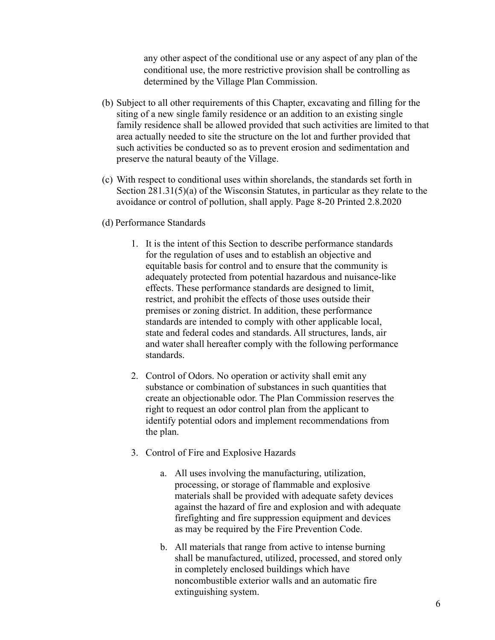any other aspect of the conditional use or any aspect of any plan of the conditional use, the more restrictive provision shall be controlling as determined by the Village Plan Commission.

- (b) Subject to all other requirements of this Chapter, excavating and filling for the siting of a new single family residence or an addition to an existing single family residence shall be allowed provided that such activities are limited to that area actually needed to site the structure on the lot and further provided that such activities be conducted so as to prevent erosion and sedimentation and preserve the natural beauty of the Village.
- (c) With respect to conditional uses within shorelands, the standards set forth in Section 281.31(5)(a) of the Wisconsin Statutes, in particular as they relate to the avoidance or control of pollution, shall apply. Page 8-20 Printed 2.8.2020
- (d) Performance Standards
	- 1. It is the intent of this Section to describe performance standards for the regulation of uses and to establish an objective and equitable basis for control and to ensure that the community is adequately protected from potential hazardous and nuisance-like effects. These performance standards are designed to limit, restrict, and prohibit the effects of those uses outside their premises or zoning district. In addition, these performance standards are intended to comply with other applicable local, state and federal codes and standards. All structures, lands, air and water shall hereafter comply with the following performance standards.
	- 2. Control of Odors. No operation or activity shall emit any substance or combination of substances in such quantities that create an objectionable odor. The Plan Commission reserves the right to request an odor control plan from the applicant to identify potential odors and implement recommendations from the plan.
	- 3. Control of Fire and Explosive Hazards
		- a. All uses involving the manufacturing, utilization, processing, or storage of flammable and explosive materials shall be provided with adequate safety devices against the hazard of fire and explosion and with adequate firefighting and fire suppression equipment and devices as may be required by the Fire Prevention Code.
		- b. All materials that range from active to intense burning shall be manufactured, utilized, processed, and stored only in completely enclosed buildings which have noncombustible exterior walls and an automatic fire extinguishing system.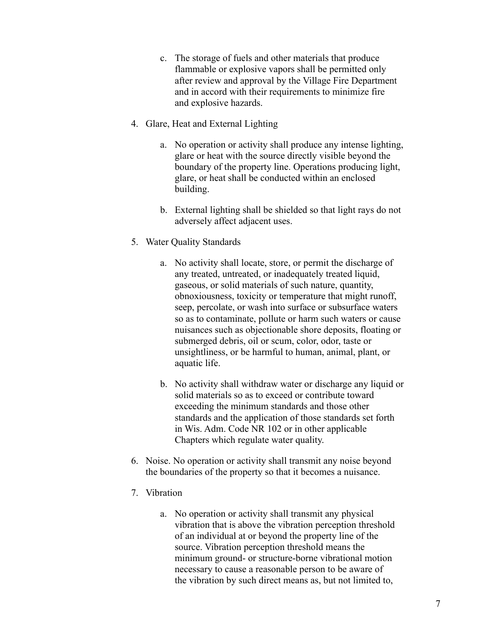- c. The storage of fuels and other materials that produce flammable or explosive vapors shall be permitted only after review and approval by the Village Fire Department and in accord with their requirements to minimize fire and explosive hazards.
- 4. Glare, Heat and External Lighting
	- a. No operation or activity shall produce any intense lighting, glare or heat with the source directly visible beyond the boundary of the property line. Operations producing light, glare, or heat shall be conducted within an enclosed building.
	- b. External lighting shall be shielded so that light rays do not adversely affect adjacent uses.
- 5. Water Quality Standards
	- a. No activity shall locate, store, or permit the discharge of any treated, untreated, or inadequately treated liquid, gaseous, or solid materials of such nature, quantity, obnoxiousness, toxicity or temperature that might runoff, seep, percolate, or wash into surface or subsurface waters so as to contaminate, pollute or harm such waters or cause nuisances such as objectionable shore deposits, floating or submerged debris, oil or scum, color, odor, taste or unsightliness, or be harmful to human, animal, plant, or aquatic life.
	- b. No activity shall withdraw water or discharge any liquid or solid materials so as to exceed or contribute toward exceeding the minimum standards and those other standards and the application of those standards set forth in Wis. Adm. Code NR 102 or in other applicable Chapters which regulate water quality.
- 6. Noise. No operation or activity shall transmit any noise beyond the boundaries of the property so that it becomes a nuisance.
- 7. Vibration
	- a. No operation or activity shall transmit any physical vibration that is above the vibration perception threshold of an individual at or beyond the property line of the source. Vibration perception threshold means the minimum ground- or structure-borne vibrational motion necessary to cause a reasonable person to be aware of the vibration by such direct means as, but not limited to,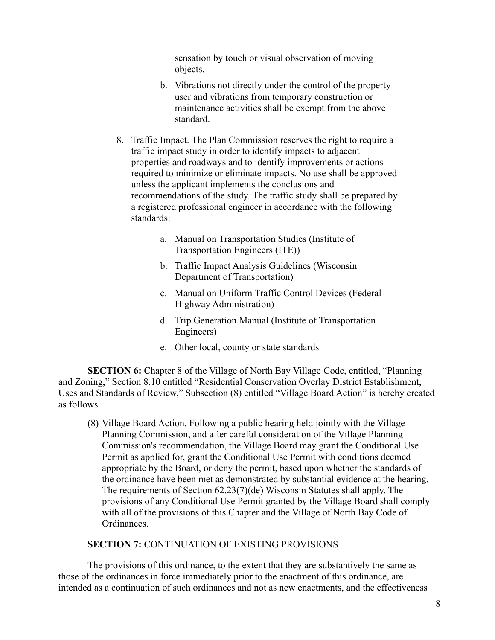sensation by touch or visual observation of moving objects.

- b. Vibrations not directly under the control of the property user and vibrations from temporary construction or maintenance activities shall be exempt from the above standard.
- 8. Traffic Impact. The Plan Commission reserves the right to require a traffic impact study in order to identify impacts to adjacent properties and roadways and to identify improvements or actions required to minimize or eliminate impacts. No use shall be approved unless the applicant implements the conclusions and recommendations of the study. The traffic study shall be prepared by a registered professional engineer in accordance with the following standards:
	- a. Manual on Transportation Studies (Institute of Transportation Engineers (ITE))
	- b. Traffic Impact Analysis Guidelines (Wisconsin Department of Transportation)
	- c. Manual on Uniform Traffic Control Devices (Federal Highway Administration)
	- d. Trip Generation Manual (Institute of Transportation Engineers)
	- e. Other local, county or state standards

**SECTION 6:** Chapter 8 of the Village of North Bay Village Code, entitled, "Planning" and Zoning," Section 8.10 entitled "Residential Conservation Overlay District Establishment, Uses and Standards of Review," Subsection (8) entitled "Village Board Action" is hereby created as follows.

(8) Village Board Action. Following a public hearing held jointly with the Village Planning Commission, and after careful consideration of the Village Planning Commission's recommendation, the Village Board may grant the Conditional Use Permit as applied for, grant the Conditional Use Permit with conditions deemed appropriate by the Board, or deny the permit, based upon whether the standards of the ordinance have been met as demonstrated by substantial evidence at the hearing. The requirements of Section 62.23(7)(de) Wisconsin Statutes shall apply. The provisions of any Conditional Use Permit granted by the Village Board shall comply with all of the provisions of this Chapter and the Village of North Bay Code of Ordinances.

# **SECTION 7:** CONTINUATION OF EXISTING PROVISIONS

The provisions of this ordinance, to the extent that they are substantively the same as those of the ordinances in force immediately prior to the enactment of this ordinance, are intended as a continuation of such ordinances and not as new enactments, and the effectiveness